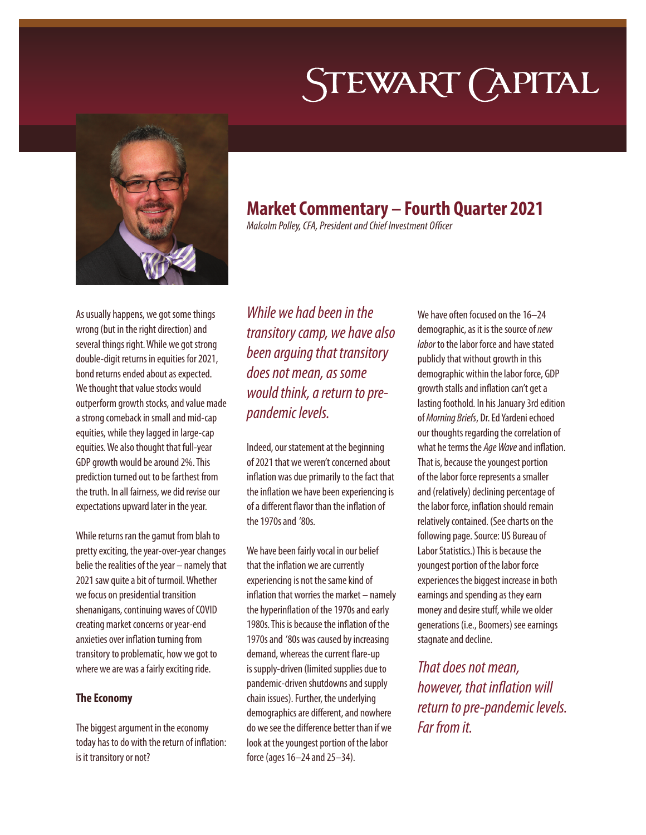# STEWART (APITAL



# **Market Commentary – Fourth Quarter 2021**

*Malcolm Polley, CFA, President and Chief Investment Officer*

As usually happens, we got some things wrong (but in the right direction) and several things right. While we got strong double-digit returns in equities for 2021, bond returns ended about as expected. We thought that value stocks would outperform growth stocks, and value made a strong comeback in small and mid-cap equities, while they lagged in large-cap equities. We also thought that full-year GDP growth would be around 2%. This prediction turned out to be farthest from the truth. In all fairness, we did revise our expectations upward later in the year.

While returns ran the gamut from blah to pretty exciting, the year-over-year changes belie the realities of the year – namely that 2021 saw quite a bit of turmoil. Whether we focus on presidential transition shenanigans, continuing waves of COVID creating market concerns or year-end anxieties over inflation turning from transitory to problematic, how we got to where we are was a fairly exciting ride.

## **The Economy**

The biggest argument in the economy today has to do with the return of inflation: is it transitory or not?

*While we had been in the transitory camp, we have also been arguing that transitory does not mean, as some would think, a return to prepandemic levels.* 

Indeed, our statement at the beginning of 2021 that we weren't concerned about inflation was due primarily to the fact that the inflation we have been experiencing is of a different flavor than the inflation of the 1970s and '80s.

We have been fairly vocal in our belief that the inflation we are currently experiencing is not the same kind of inflation that worries the market – namely the hyperinflation of the 1970s and early 1980s. This is because the inflation of the 1970s and '80s was caused by increasing demand, whereas the current flare-up is supply-driven (limited supplies due to pandemic-driven shutdowns and supply chain issues). Further, the underlying demographics are different, and nowhere do we see the difference better than if we look at the youngest portion of the labor force (ages 16–24 and 25–34).

We have often focused on the 16–24 demographic, as it is the source of *new labor* to the labor force and have stated publicly that without growth in this demographic within the labor force, GDP growth stalls and inflation can't get a lasting foothold. In his January 3rd edition of *Morning Briefs*, Dr. Ed Yardeni echoed our thoughts regarding the correlation of what he terms the *Age Wave* and inflation. That is, because the youngest portion of the labor force represents a smaller and (relatively) declining percentage of the labor force, inflation should remain relatively contained. (See charts on the following page. Source: US Bureau of Labor Statistics.) This is because the youngest portion of the labor force experiences the biggest increase in both earnings and spending as they earn money and desire stuff, while we older generations (i.e., Boomers) see earnings stagnate and decline.

*That does not mean, however, that inflation will return to pre-pandemic levels. Far from it.*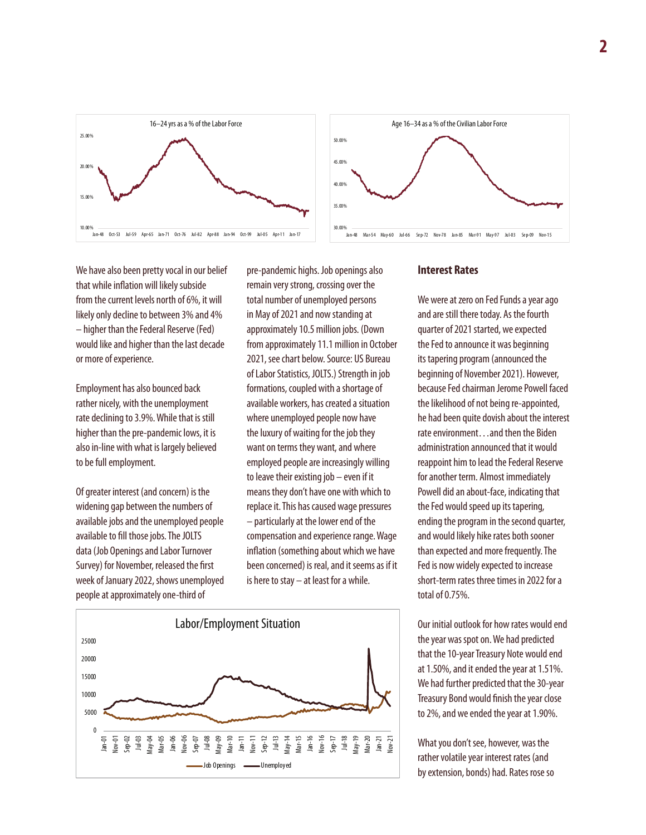





We have also been pretty vocal in our belief that while inflation will likely subside from the current levels north of 6%, it will likely only decline to between 3% and 4% – higher than the Federal Reserve (Fed) would like and higher than the last decade or more of experience.

Employment has also bounced back rather nicely, with the unemployment rate declining to 3.9%. While that is still higher than the pre-pandemic lows, it is also in-line with what is largely believed to be full employment.

Of greater interest (and concern) is the widening gap between the numbers of available jobs and the unemployed people available to fill those jobs. The JOLTS data (Job Openings and Labor Turnover Survey) for November, released the first week of January 2022, shows unemployed people at approximately one-third of

pre-pandemic highs. Job openings also remain very strong, crossing over the total number of unemployed persons in May of 2021 and now standing at approximately 10.5 million jobs. (Down from approximately 11.1 million in October 2021, see chart below. Source: US Bureau of Labor Statistics, JOLTS.) Strength in job formations, coupled with a shortage of available workers, has created a situation where unemployed people now have the luxury of waiting for the job they want on terms they want, and where employed people are increasingly willing to leave their existing job – even if it means they don't have one with which to replace it. This has caused wage pressures – particularly at the lower end of the compensation and experience range. Wage inflation (something about which we have been concerned) is real, and it seems as if it is here to stay – at least for a while.



#### **Interest Rates**

We were at zero on Fed Funds a year ago and are still there today. As the fourth quarter of 2021 started, we expected the Fed to announce it was beginning its tapering program (announced the beginning of November 2021). However, because Fed chairman Jerome Powell faced the likelihood of not being re-appointed, he had been quite dovish about the interest rate environment…and then the Biden administration announced that it would reappoint him to lead the Federal Reserve for another term. Almost immediately Powell did an about-face, indicating that the Fed would speed up its tapering, ending the program in the second quarter, and would likely hike rates both sooner than expected and more frequently. The Fed is now widely expected to increase short-term rates three times in 2022 for a total of 0.75%.

Our initial outlook for how rates would end the year was spot on. We had predicted that the 10-year Treasury Note would end at 1.50%, and it ended the year at 1.51%. We had further predicted that the 30-year Treasury Bond would finish the year close to 2%, and we ended the year at 1.90%.

What you don't see, however, was the rather volatile year interest rates (and by extension, bonds) had. Rates rose so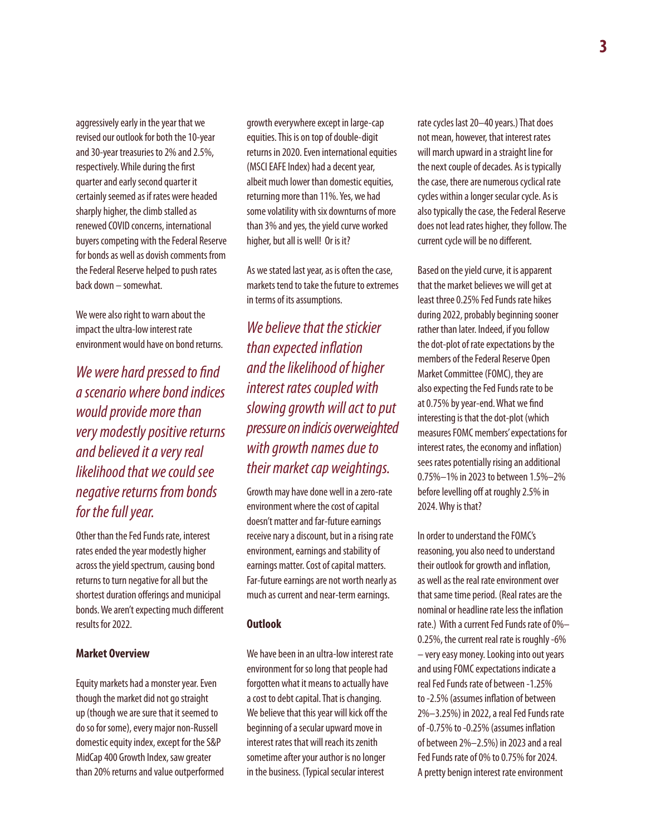aggressively early in the year that we revised our outlook for both the 10-year and 30-year treasuries to 2% and 2.5%, respectively. While during the first quarter and early second quarter it certainly seemed as if rates were headed sharply higher, the climb stalled as renewed COVID concerns, international buyers competing with the Federal Reserve for bonds as well as dovish comments from the Federal Reserve helped to push rates back down – somewhat.

We were also right to warn about the impact the ultra-low interest rate environment would have on bond returns.

*We were hard pressed to find a scenario where bond indices would provide more than very modestly positive returns and believed it a very real likelihood that we could see negative returns from bonds for the full year.* 

Other than the Fed Funds rate, interest rates ended the year modestly higher across the yield spectrum, causing bond returns to turn negative for all but the shortest duration offerings and municipal bonds. We aren't expecting much different results for 2022.

#### **Market Overview**

Equity markets had a monster year. Even though the market did not go straight up (though we are sure that it seemed to do so for some), every major non-Russell domestic equity index, except for the S&P MidCap 400 Growth Index, saw greater than 20% returns and value outperformed growth everywhere except in large-cap equities. This is on top of double-digit returns in 2020. Even international equities (MSCI EAFE Index) had a decent year, albeit much lower than domestic equities, returning more than 11%. Yes, we had some volatility with six downturns of more than 3% and yes, the yield curve worked higher, but all is well! Or is it?

As we stated last year, as is often the case, markets tend to take the future to extremes in terms of its assumptions.

*We believe that the stickier than expected inflation and the likelihood of higher interest rates coupled with slowing growth will act to put pressure on indicis overweighted with growth names due to their market cap weightings.* 

Growth may have done well in a zero-rate environment where the cost of capital doesn't matter and far-future earnings receive nary a discount, but in a rising rate environment, earnings and stability of earnings matter. Cost of capital matters. Far-future earnings are not worth nearly as much as current and near-term earnings.

#### **Outlook**

We have been in an ultra-low interest rate environment for so long that people had forgotten what it means to actually have a cost to debt capital. That is changing. We believe that this year will kick off the beginning of a secular upward move in interest rates that will reach its zenith sometime after your author is no longer in the business. (Typical secular interest

rate cycles last 20–40 years.) That does not mean, however, that interest rates will march upward in a straight line for the next couple of decades. As is typically the case, there are numerous cyclical rate cycles within a longer secular cycle. As is also typically the case, the Federal Reserve does not lead rates higher, they follow. The current cycle will be no different.

Based on the yield curve, it is apparent that the market believes we will get at least three 0.25% Fed Funds rate hikes during 2022, probably beginning sooner rather than later. Indeed, if you follow the dot-plot of rate expectations by the members of the Federal Reserve Open Market Committee (FOMC), they are also expecting the Fed Funds rate to be at 0.75% by year-end. What we find interesting is that the dot-plot (which measures FOMC members' expectations for interest rates, the economy and inflation) sees rates potentially rising an additional 0.75%–1% in 2023 to between 1.5%–2% before levelling off at roughly 2.5% in 2024. Why is that?

In order to understand the FOMC's reasoning, you also need to understand their outlook for growth and inflation, as well as the real rate environment over that same time period. (Real rates are the nominal or headline rate less the inflation rate.) With a current Fed Funds rate of 0%– 0.25%, the current real rate is roughly -6% – very easy money. Looking into out years and using FOMC expectations indicate a real Fed Funds rate of between -1.25% to -2.5% (assumes inflation of between 2%–3.25%) in 2022, a real Fed Funds rate of -0.75% to -0.25% (assumes inflation of between 2%–2.5%) in 2023 and a real Fed Funds rate of 0% to 0.75% for 2024. A pretty benign interest rate environment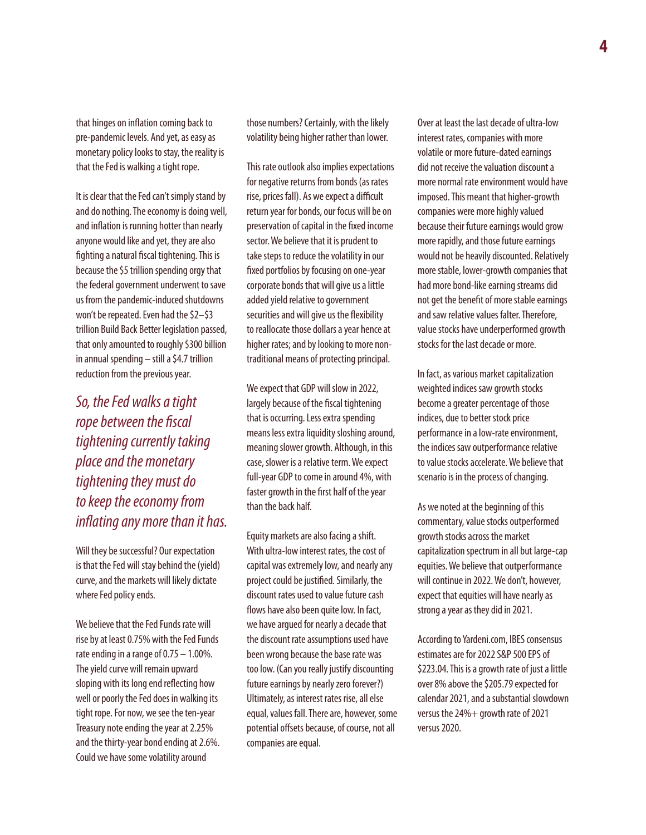that hinges on inflation coming back to pre-pandemic levels. And yet, as easy as monetary policy looks to stay, the reality is that the Fed is walking a tight rope.

It is clear that the Fed can't simply stand by and do nothing. The economy is doing well, and inflation is running hotter than nearly anyone would like and yet, they are also fighting a natural fiscal tightening. This is because the \$5 trillion spending orgy that the federal government underwent to save us from the pandemic-induced shutdowns won't be repeated. Even had the \$2–\$3 trillion Build Back Better legislation passed, that only amounted to roughly \$300 billion in annual spending – still a \$4.7 trillion reduction from the previous year.

*So, the Fed walks a tight rope between the fiscal tightening currently taking place and the monetary tightening they must do to keep the economy from inflating any more than it has.* 

Will they be successful? Our expectation is that the Fed will stay behind the (yield) curve, and the markets will likely dictate where Fed policy ends.

We believe that the Fed Funds rate will rise by at least 0.75% with the Fed Funds rate ending in a range of 0.75 – 1.00%. The yield curve will remain upward sloping with its long end reflecting how well or poorly the Fed does in walking its tight rope. For now, we see the ten-year Treasury note ending the year at 2.25% and the thirty-year bond ending at 2.6%. Could we have some volatility around

those numbers? Certainly, with the likely volatility being higher rather than lower.

This rate outlook also implies expectations for negative returns from bonds (as rates rise, prices fall). As we expect a difficult return year for bonds, our focus will be on preservation of capital in the fixed income sector. We believe that it is prudent to take steps to reduce the volatility in our fixed portfolios by focusing on one-year corporate bonds that will give us a little added yield relative to government securities and will give us the flexibility to reallocate those dollars a year hence at higher rates; and by looking to more nontraditional means of protecting principal.

We expect that GDP will slow in 2022, largely because of the fiscal tightening that is occurring. Less extra spending means less extra liquidity sloshing around, meaning slower growth. Although, in this case, slower is a relative term. We expect full-year GDP to come in around 4%, with faster growth in the first half of the year than the back half.

Equity markets are also facing a shift. With ultra-low interest rates, the cost of capital was extremely low, and nearly any project could be justified. Similarly, the discount rates used to value future cash flows have also been quite low. In fact, we have argued for nearly a decade that the discount rate assumptions used have been wrong because the base rate was too low. (Can you really justify discounting future earnings by nearly zero forever?) Ultimately, as interest rates rise, all else equal, values fall. There are, however, some potential offsets because, of course, not all companies are equal.

Over at least the last decade of ultra-low interest rates, companies with more volatile or more future-dated earnings did not receive the valuation discount a more normal rate environment would have imposed. This meant that higher-growth companies were more highly valued because their future earnings would grow more rapidly, and those future earnings would not be heavily discounted. Relatively more stable, lower-growth companies that had more bond-like earning streams did not get the benefit of more stable earnings and saw relative values falter. Therefore, value stocks have underperformed growth stocks for the last decade or more.

In fact, as various market capitalization weighted indices saw growth stocks become a greater percentage of those indices, due to better stock price performance in a low-rate environment, the indices saw outperformance relative to value stocks accelerate. We believe that scenario is in the process of changing.

As we noted at the beginning of this commentary, value stocks outperformed growth stocks across the market capitalization spectrum in all but large-cap equities. We believe that outperformance will continue in 2022. We don't, however, expect that equities will have nearly as strong a year as they did in 2021.

According to Yardeni.com, IBES consensus estimates are for 2022 S&P 500 EPS of \$223.04. This is a growth rate of just a little over 8% above the \$205.79 expected for calendar 2021, and a substantial slowdown versus the 24%+ growth rate of 2021 versus 2020.